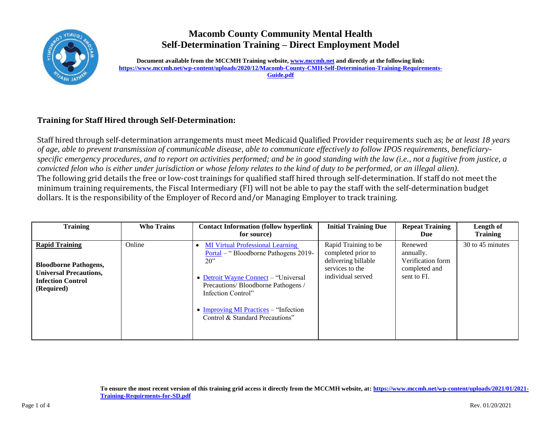

## **Macomb County Community Mental Health Self-Determination Training – Direct Employment Model**

**Document available from the MCCMH Training website[, www.mccmh.net](http://www.mccmh.net/) and directly at the following link: [https://www.mccmh.net/wp-content/uploads/2020/12/Macomb-County-CMH-Self-Determination-Training-Requirements-](https://www.mccmh.net/wp-content/uploads/2020/12/Macomb-County-CMH-Self-Determination-Training-Requirements-Guide.pdf)[Guide.pdf](https://www.mccmh.net/wp-content/uploads/2020/12/Macomb-County-CMH-Self-Determination-Training-Requirements-Guide.pdf)**

## **Training for Staff Hired through Self-Determination:**

Staff hired through self-determination arrangements must meet Medicaid Qualified Provider requirements such as; *be at least 18 years of age, able to prevent transmission of communicable disease, able to communicate effectively to follow IPOS requirements, beneficiaryspecific emergency procedures, and to report on activities performed; and be in good standing with the law (i.e., not a fugitive from justice, a convicted felon who is either under jurisdiction or whose felony relates to the kind of duty to be performed, or an illegal alien)*. The following grid details the free or low-cost trainings for qualified staff hired through self-determination. If staff do not meet the minimum training requirements, the Fiscal Intermediary (FI) will not be able to pay the staff with the self-determination budget dollars. It is the responsibility of the Employer of Record and/or Managing Employer to track training.

| <b>Training</b>                                                                                                                  | <b>Who Trains</b> | <b>Contact Information (follow hyperlink)</b><br>for source)                                                                                                                                                                                                             | <b>Initial Training Due</b>                                                                               | <b>Repeat Training</b><br>Due                                             | Length of<br><b>Training</b> |
|----------------------------------------------------------------------------------------------------------------------------------|-------------------|--------------------------------------------------------------------------------------------------------------------------------------------------------------------------------------------------------------------------------------------------------------------------|-----------------------------------------------------------------------------------------------------------|---------------------------------------------------------------------------|------------------------------|
| <b>Rapid Training</b><br><b>Bloodborne Pathogens,</b><br><b>Universal Precautions,</b><br><b>Infection Control</b><br>(Required) | Online            | <b>MI Virtual Professional Learning</b><br>Portal – "Bloodborne Pathogens 2019-<br>20<br>• Detroit Wayne Connect – "Universal<br>Precautions/Bloodborne Pathogens /<br>Infection Control"<br>• Improving MI Practices $-$ "Infection"<br>Control & Standard Precautions" | Rapid Training to be<br>completed prior to<br>delivering billable<br>services to the<br>individual served | Renewed<br>annually.<br>Verification form<br>completed and<br>sent to FI. | 30 to 45 minutes             |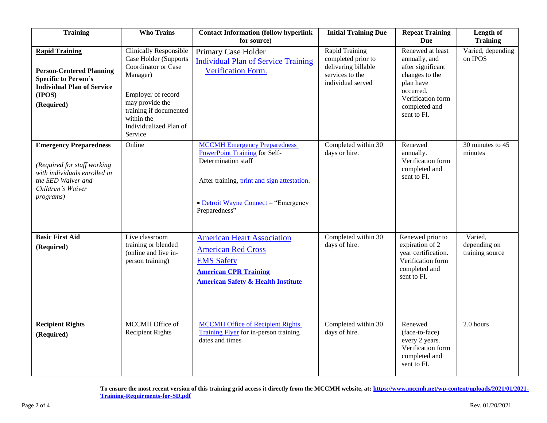| <b>Training</b>                                                                                                                                              | <b>Who Trains</b>                                                                                                                                                                                               | <b>Contact Information (follow hyperlink</b><br>for source)                                                                                                                                                | <b>Initial Training Due</b>                                                                         | <b>Repeat Training</b><br><b>Due</b>                                                                                                                    | Length of<br><b>Training</b>               |
|--------------------------------------------------------------------------------------------------------------------------------------------------------------|-----------------------------------------------------------------------------------------------------------------------------------------------------------------------------------------------------------------|------------------------------------------------------------------------------------------------------------------------------------------------------------------------------------------------------------|-----------------------------------------------------------------------------------------------------|---------------------------------------------------------------------------------------------------------------------------------------------------------|--------------------------------------------|
| <b>Rapid Training</b><br><b>Person-Centered Planning</b><br><b>Specific to Person's</b><br><b>Individual Plan of Service</b><br>(IPOS)<br>(Required)         | <b>Clinically Responsible</b><br>Case Holder (Supports<br>Coordinator or Case<br>Manager)<br>Employer of record<br>may provide the<br>training if documented<br>within the<br>Individualized Plan of<br>Service | Primary Case Holder<br><b>Individual Plan of Service Training</b><br>Verification Form.                                                                                                                    | Rapid Training<br>completed prior to<br>delivering billable<br>services to the<br>individual served | Renewed at least<br>annually, and<br>after significant<br>changes to the<br>plan have<br>occurred.<br>Verification form<br>completed and<br>sent to FI. | Varied, depending<br>on IPOS               |
| <b>Emergency Preparedness</b><br>(Required for staff working<br>with individuals enrolled in<br>the SED Waiver and<br>Children's Waiver<br><i>programs</i> ) | Online                                                                                                                                                                                                          | <b>MCCMH</b> Emergency Preparedness<br><b>PowerPoint Training for Self-</b><br>Determination staff<br>After training, print and sign attestation.<br>• Detroit Wayne Connect - "Emergency<br>Preparedness" | Completed within 30<br>days or hire.                                                                | Renewed<br>annually.<br>Verification form<br>completed and<br>sent to FI.                                                                               | 30 minutes to 45<br>minutes                |
| <b>Basic First Aid</b><br>(Required)                                                                                                                         | Live classroom<br>training or blended<br>(online and live in-<br>person training)                                                                                                                               | <b>American Heart Association</b><br><b>American Red Cross</b><br><b>EMS Safety</b><br><b>American CPR Training</b><br><b>American Safety &amp; Health Institute</b>                                       | Completed within 30<br>days of hire.                                                                | Renewed prior to<br>expiration of 2<br>year certification.<br>Verification form<br>completed and<br>sent to FI.                                         | Varied,<br>depending on<br>training source |
| <b>Recipient Rights</b><br>(Required)                                                                                                                        | MCCMH Office of<br><b>Recipient Rights</b>                                                                                                                                                                      | <b>MCCMH Office of Recipient Rights</b><br>Training Flyer for in-person training<br>dates and times                                                                                                        | Completed within 30<br>days of hire.                                                                | Renewed<br>(face-to-face)<br>every 2 years.<br>Verification form<br>completed and<br>sent to FI.                                                        | $2.0$ hours                                |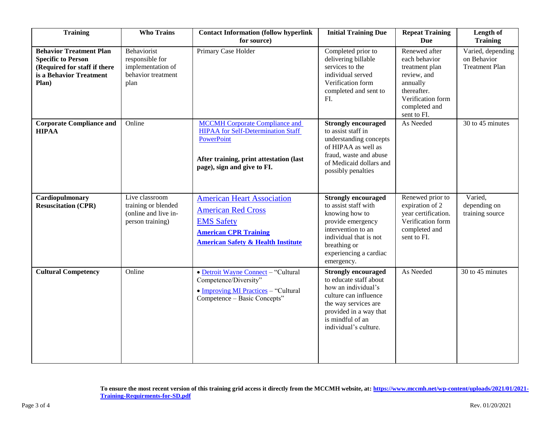| <b>Training</b>                                                                                                                 | <b>Who Trains</b>                                                                 | <b>Contact Information (follow hyperlink</b><br>for source)                                                                                                                       | <b>Initial Training Due</b>                                                                                                                                                                         | <b>Repeat Training</b><br>Due                                                                                                                   | Length of<br><b>Training</b>                              |
|---------------------------------------------------------------------------------------------------------------------------------|-----------------------------------------------------------------------------------|-----------------------------------------------------------------------------------------------------------------------------------------------------------------------------------|-----------------------------------------------------------------------------------------------------------------------------------------------------------------------------------------------------|-------------------------------------------------------------------------------------------------------------------------------------------------|-----------------------------------------------------------|
| <b>Behavior Treatment Plan</b><br><b>Specific to Person</b><br>(Required for staff if there<br>is a Behavior Treatment<br>Plan) | Behaviorist<br>responsible for<br>implementation of<br>behavior treatment<br>plan | Primary Case Holder                                                                                                                                                               | Completed prior to<br>delivering billable<br>services to the<br>individual served<br>Verification form<br>completed and sent to<br>FI.                                                              | Renewed after<br>each behavior<br>treatment plan<br>review, and<br>annually<br>thereafter.<br>Verification form<br>completed and<br>sent to FI. | Varied, depending<br>on Behavior<br><b>Treatment Plan</b> |
| <b>Corporate Compliance and</b><br><b>HIPAA</b>                                                                                 | Online                                                                            | <b>MCCMH</b> Corporate Compliance and<br><b>HIPAA</b> for Self-Determination Staff<br><b>PowerPoint</b><br>After training, print attestation (last<br>page), sign and give to FI. | <b>Strongly encouraged</b><br>to assist staff in<br>understanding concepts<br>of HIPAA as well as<br>fraud, waste and abuse<br>of Medicaid dollars and<br>possibly penalties                        | As Needed                                                                                                                                       | 30 to 45 minutes                                          |
| Cardiopulmonary<br><b>Resuscitation (CPR)</b>                                                                                   | Live classroom<br>training or blended<br>(online and live in-<br>person training) | <b>American Heart Association</b><br><b>American Red Cross</b><br><b>EMS Safety</b><br><b>American CPR Training</b><br><b>American Safety &amp; Health Institute</b>              | <b>Strongly encouraged</b><br>to assist staff with<br>knowing how to<br>provide emergency<br>intervention to an<br>individual that is not<br>breathing or<br>experiencing a cardiac<br>emergency.   | Renewed prior to<br>expiration of 2<br>year certification.<br>Verification form<br>completed and<br>sent to FI.                                 | Varied,<br>depending on<br>training source                |
| <b>Cultural Competency</b>                                                                                                      | Online                                                                            | • Detroit Wayne Connect - "Cultural<br>Competence/Diversity"<br>• Improving MI Practices - "Cultural<br>Competence - Basic Concepts"                                              | <b>Strongly encouraged</b><br>to educate staff about<br>how an individual's<br>culture can influence<br>the way services are<br>provided in a way that<br>is mindful of an<br>individual's culture. | As Needed                                                                                                                                       | 30 to 45 minutes                                          |